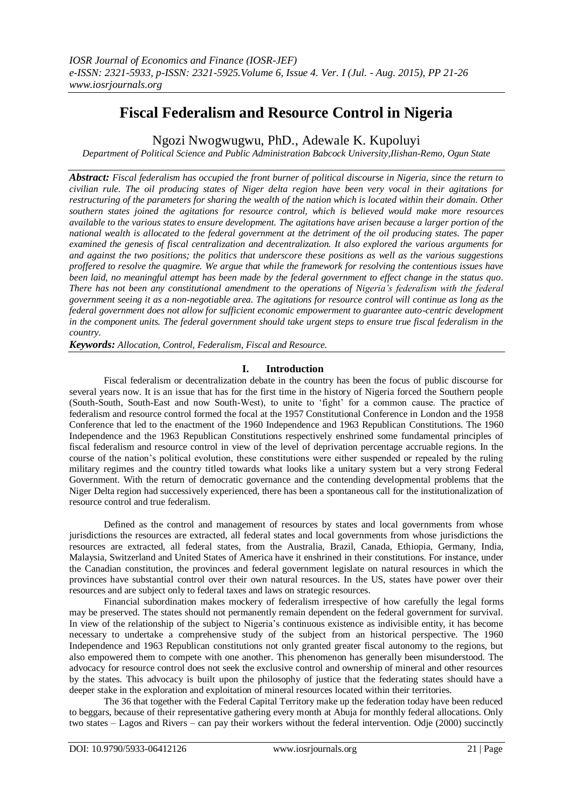# **Fiscal Federalism and Resource Control in Nigeria**

Ngozi Nwogwugwu, PhD., Adewale K. Kupoluyi

*Department of Political Science and Public Administration Babcock University,Ilishan-Remo, Ogun State*

*Abstract: Fiscal federalism has occupied the front burner of political discourse in Nigeria, since the return to civilian rule. The oil producing states of Niger delta region have been very vocal in their agitations for restructuring of the parameters for sharing the wealth of the nation which is located within their domain. Other southern states joined the agitations for resource control, which is believed would make more resources available to the various states to ensure development. The agitations have arisen because a larger portion of the national wealth is allocated to the federal government at the detriment of the oil producing states. The paper examined the genesis of fiscal centralization and decentralization. It also explored the various arguments for and against the two positions; the politics that underscore these positions as well as the various suggestions proffered to resolve the quagmire. We argue that while the framework for resolving the contentious issues have been laid, no meaningful attempt has been made by the federal government to effect change in the status quo. There has not been any constitutional amendment to the operations of Nigeria's federalism with the federal government seeing it as a non-negotiable area. The agitations for resource control will continue as long as the federal government does not allow for sufficient economic empowerment to guarantee auto-centric development in the component units. The federal government should take urgent steps to ensure true fiscal federalism in the country.*

*Keywords: Allocation, Control, Federalism, Fiscal and Resource.*

## **I. Introduction**

Fiscal federalism or decentralization debate in the country has been the focus of public discourse for several years now. It is an issue that has for the first time in the history of Nigeria forced the Southern people (South-South, South-East and now South-West), to unite to "fight" for a common cause. The practice of federalism and resource control formed the focal at the 1957 Constitutional Conference in London and the 1958 Conference that led to the enactment of the 1960 Independence and 1963 Republican Constitutions. The 1960 Independence and the 1963 Republican Constitutions respectively enshrined some fundamental principles of fiscal federalism and resource control in view of the level of deprivation percentage accruable regions. In the course of the nation"s political evolution, these constitutions were either suspended or repealed by the ruling military regimes and the country titled towards what looks like a unitary system but a very strong Federal Government. With the return of democratic governance and the contending developmental problems that the Niger Delta region had successively experienced, there has been a spontaneous call for the institutionalization of resource control and true federalism.

Defined as the control and management of resources by states and local governments from whose jurisdictions the resources are extracted, all federal states and local governments from whose jurisdictions the resources are extracted, all federal states, from the Australia, Brazil, Canada, Ethiopia, Germany, India, Malaysia, Switzerland and United States of America have it enshrined in their constitutions. For instance, under the Canadian constitution, the provinces and federal government legislate on natural resources in which the provinces have substantial control over their own natural resources. In the US, states have power over their resources and are subject only to federal taxes and laws on strategic resources.

Financial subordination makes mockery of federalism irrespective of how carefully the legal forms may be preserved. The states should not permanently remain dependent on the federal government for survival. In view of the relationship of the subject to Nigeria"s continuous existence as indivisible entity, it has become necessary to undertake a comprehensive study of the subject from an historical perspective. The 1960 Independence and 1963 Republican constitutions not only granted greater fiscal autonomy to the regions, but also empowered them to compete with one another. This phenomenon has generally been misunderstood. The advocacy for resource control does not seek the exclusive control and ownership of mineral and other resources by the states. This advocacy is built upon the philosophy of justice that the federating states should have a deeper stake in the exploration and exploitation of mineral resources located within their territories.

The 36 that together with the Federal Capital Territory make up the federation today have been reduced to beggars, because of their representative gathering every month at Abuja for monthly federal allocations. Only two states – Lagos and Rivers – can pay their workers without the federal intervention. Odje (2000) succinctly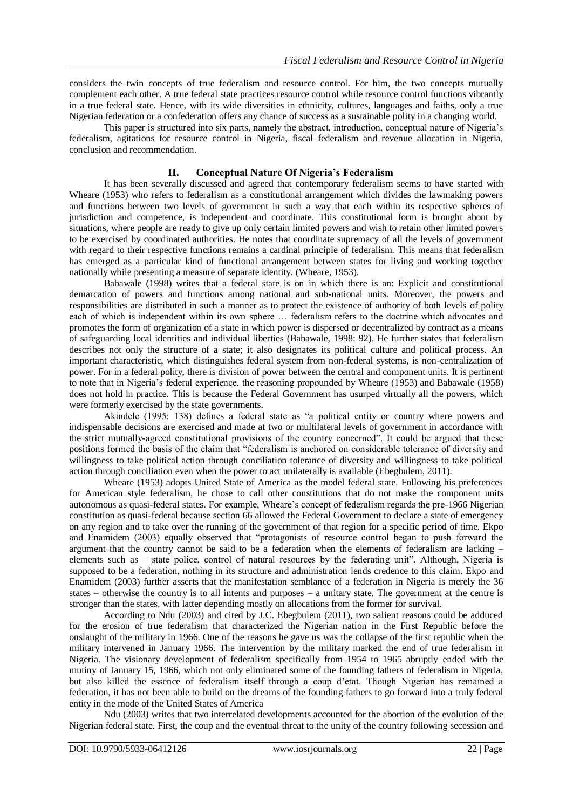considers the twin concepts of true federalism and resource control. For him, the two concepts mutually complement each other. A true federal state practices resource control while resource control functions vibrantly in a true federal state. Hence, with its wide diversities in ethnicity, cultures, languages and faiths, only a true Nigerian federation or a confederation offers any chance of success as a sustainable polity in a changing world.

This paper is structured into six parts, namely the abstract, introduction, conceptual nature of Nigeria"s federalism, agitations for resource control in Nigeria, fiscal federalism and revenue allocation in Nigeria, conclusion and recommendation.

#### **II. Conceptual Nature Of Nigeria's Federalism**

It has been severally discussed and agreed that contemporary federalism seems to have started with Wheare (1953) who refers to federalism as a constitutional arrangement which divides the lawmaking powers and functions between two levels of government in such a way that each within its respective spheres of jurisdiction and competence, is independent and coordinate. This constitutional form is brought about by situations, where people are ready to give up only certain limited powers and wish to retain other limited powers to be exercised by coordinated authorities. He notes that coordinate supremacy of all the levels of government with regard to their respective functions remains a cardinal principle of federalism. This means that federalism has emerged as a particular kind of functional arrangement between states for living and working together nationally while presenting a measure of separate identity. (Wheare, 1953).

Babawale (1998) writes that a federal state is on in which there is an: Explicit and constitutional demarcation of powers and functions among national and sub-national units. Moreover, the powers and responsibilities are distributed in such a manner as to protect the existence of authority of both levels of polity each of which is independent within its own sphere … federalism refers to the doctrine which advocates and promotes the form of organization of a state in which power is dispersed or decentralized by contract as a means of safeguarding local identities and individual liberties (Babawale, 1998: 92). He further states that federalism describes not only the structure of a state; it also designates its political culture and political process. An important characteristic, which distinguishes federal system from non-federal systems, is non-centralization of power. For in a federal polity, there is division of power between the central and component units. It is pertinent to note that in Nigeria"s federal experience, the reasoning propounded by Wheare (1953) and Babawale (1958) does not hold in practice. This is because the Federal Government has usurped virtually all the powers, which were formerly exercised by the state governments.

Akindele (1995: 138) defines a federal state as "a political entity or country where powers and indispensable decisions are exercised and made at two or multilateral levels of government in accordance with the strict mutually-agreed constitutional provisions of the country concerned". It could be argued that these positions formed the basis of the claim that "federalism is anchored on considerable tolerance of diversity and willingness to take political action through conciliation tolerance of diversity and willingness to take political action through conciliation even when the power to act unilaterally is available (Ebegbulem, 2011).

Wheare (1953) adopts United State of America as the model federal state. Following his preferences for American style federalism, he chose to call other constitutions that do not make the component units autonomous as quasi-federal states. For example, Wheare"s concept of federalism regards the pre-1966 Nigerian constitution as quasi-federal because section 66 allowed the Federal Government to declare a state of emergency on any region and to take over the running of the government of that region for a specific period of time. Ekpo and Enamidem (2003) equally observed that "protagonists of resource control began to push forward the argument that the country cannot be said to be a federation when the elements of federalism are lacking – elements such as – state police, control of natural resources by the federating unit". Although, Nigeria is supposed to be a federation, nothing in its structure and administration lends credence to this claim. Ekpo and Enamidem (2003) further asserts that the manifestation semblance of a federation in Nigeria is merely the 36 states – otherwise the country is to all intents and purposes – a unitary state. The government at the centre is stronger than the states, with latter depending mostly on allocations from the former for survival.

According to Ndu (2003) and cited by J.C. Ebegbulem (2011), two salient reasons could be adduced for the erosion of true federalism that characterized the Nigerian nation in the First Republic before the onslaught of the military in 1966. One of the reasons he gave us was the collapse of the first republic when the military intervened in January 1966. The intervention by the military marked the end of true federalism in Nigeria. The visionary development of federalism specifically from 1954 to 1965 abruptly ended with the mutiny of January 15, 1966, which not only eliminated some of the founding fathers of federalism in Nigeria, but also killed the essence of federalism itself through a coup d"etat. Though Nigerian has remained a federation, it has not been able to build on the dreams of the founding fathers to go forward into a truly federal entity in the mode of the United States of America

Ndu (2003) writes that two interrelated developments accounted for the abortion of the evolution of the Nigerian federal state. First, the coup and the eventual threat to the unity of the country following secession and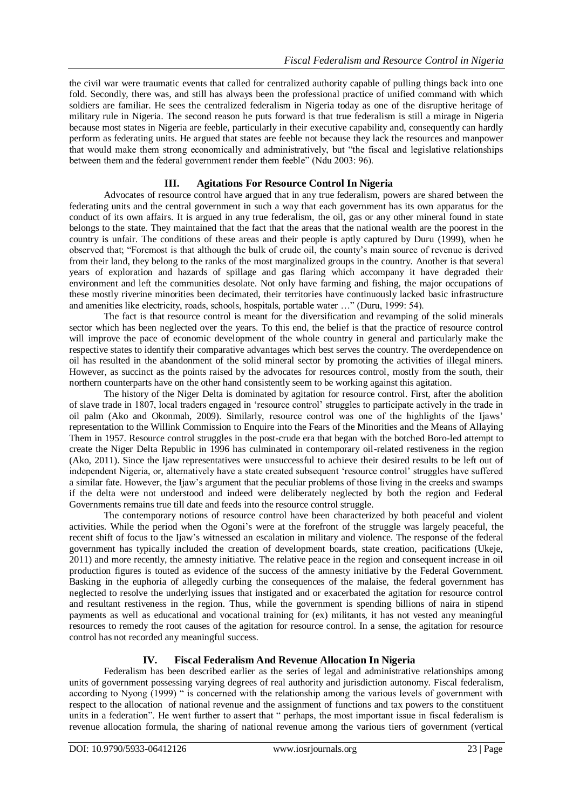the civil war were traumatic events that called for centralized authority capable of pulling things back into one fold. Secondly, there was, and still has always been the professional practice of unified command with which soldiers are familiar. He sees the centralized federalism in Nigeria today as one of the disruptive heritage of military rule in Nigeria. The second reason he puts forward is that true federalism is still a mirage in Nigeria because most states in Nigeria are feeble, particularly in their executive capability and, consequently can hardly perform as federating units. He argued that states are feeble not because they lack the resources and manpower that would make them strong economically and administratively, but "the fiscal and legislative relationships between them and the federal government render them feeble" (Ndu 2003: 96).

## **III. Agitations For Resource Control In Nigeria**

Advocates of resource control have argued that in any true federalism, powers are shared between the federating units and the central government in such a way that each government has its own apparatus for the conduct of its own affairs. It is argued in any true federalism, the oil, gas or any other mineral found in state belongs to the state. They maintained that the fact that the areas that the national wealth are the poorest in the country is unfair. The conditions of these areas and their people is aptly captured by Duru (1999), when he observed that; "Foremost is that although the bulk of crude oil, the county"s main source of revenue is derived from their land, they belong to the ranks of the most marginalized groups in the country. Another is that several years of exploration and hazards of spillage and gas flaring which accompany it have degraded their environment and left the communities desolate. Not only have farming and fishing, the major occupations of these mostly riverine minorities been decimated, their territories have continuously lacked basic infrastructure and amenities like electricity, roads, schools, hospitals, portable water …" (Duru, 1999: 54).

The fact is that resource control is meant for the diversification and revamping of the solid minerals sector which has been neglected over the years. To this end, the belief is that the practice of resource control will improve the pace of economic development of the whole country in general and particularly make the respective states to identify their comparative advantages which best serves the country. The overdependence on oil has resulted in the abandonment of the solid mineral sector by promoting the activities of illegal miners. However, as succinct as the points raised by the advocates for resources control, mostly from the south, their northern counterparts have on the other hand consistently seem to be working against this agitation.

The history of the Niger Delta is dominated by agitation for resource control. First, after the abolition of slave trade in 1807, local traders engaged in "resource control" struggles to participate actively in the trade in oil palm (Ako and Okonmah, 2009). Similarly, resource control was one of the highlights of the Ijaws" representation to the Willink Commission to Enquire into the Fears of the Minorities and the Means of Allaying Them in 1957. Resource control struggles in the post-crude era that began with the botched Boro-led attempt to create the Niger Delta Republic in 1996 has culminated in contemporary oil-related restiveness in the region (Ako, 2011). Since the Ijaw representatives were unsuccessful to achieve their desired results to be left out of independent Nigeria, or, alternatively have a state created subsequent "resource control" struggles have suffered a similar fate. However, the Ijaw"s argument that the peculiar problems of those living in the creeks and swamps if the delta were not understood and indeed were deliberately neglected by both the region and Federal Governments remains true till date and feeds into the resource control struggle.

The contemporary notions of resource control have been characterized by both peaceful and violent activities. While the period when the Ogoni"s were at the forefront of the struggle was largely peaceful, the recent shift of focus to the Ijaw"s witnessed an escalation in military and violence. The response of the federal government has typically included the creation of development boards, state creation, pacifications (Ukeje, 2011) and more recently, the amnesty initiative. The relative peace in the region and consequent increase in oil production figures is touted as evidence of the success of the amnesty initiative by the Federal Government. Basking in the euphoria of allegedly curbing the consequences of the malaise, the federal government has neglected to resolve the underlying issues that instigated and or exacerbated the agitation for resource control and resultant restiveness in the region. Thus, while the government is spending billions of naira in stipend payments as well as educational and vocational training for (ex) militants, it has not vested any meaningful resources to remedy the root causes of the agitation for resource control. In a sense, the agitation for resource control has not recorded any meaningful success.

## **IV. Fiscal Federalism And Revenue Allocation In Nigeria**

Federalism has been described earlier as the series of legal and administrative relationships among units of government possessing varying degrees of real authority and jurisdiction autonomy. Fiscal federalism, according to Nyong (1999) " is concerned with the relationship among the various levels of government with respect to the allocation of national revenue and the assignment of functions and tax powers to the constituent units in a federation". He went further to assert that " perhaps, the most important issue in fiscal federalism is revenue allocation formula, the sharing of national revenue among the various tiers of government (vertical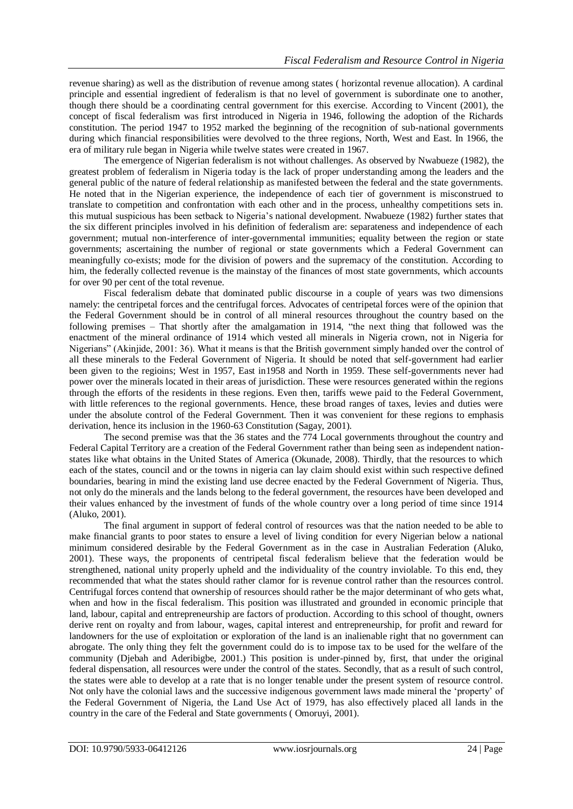revenue sharing) as well as the distribution of revenue among states ( horizontal revenue allocation). A cardinal principle and essential ingredient of federalism is that no level of government is subordinate one to another, though there should be a coordinating central government for this exercise. According to Vincent (2001), the concept of fiscal federalism was first introduced in Nigeria in 1946, following the adoption of the Richards constitution. The period 1947 to 1952 marked the beginning of the recognition of sub-national governments during which financial responsibilities were devolved to the three regions, North, West and East. In 1966, the era of military rule began in Nigeria while twelve states were created in 1967.

The emergence of Nigerian federalism is not without challenges. As observed by Nwabueze (1982), the greatest problem of federalism in Nigeria today is the lack of proper understanding among the leaders and the general public of the nature of federal relationship as manifested between the federal and the state governments. He noted that in the Nigerian experience, the independence of each tier of government is misconstrued to translate to competition and confrontation with each other and in the process, unhealthy competitions sets in. this mutual suspicious has been setback to Nigeria"s national development. Nwabueze (1982) further states that the six different principles involved in his definition of federalism are: separateness and independence of each government; mutual non-interference of inter-governmental immunities; equality between the region or state governments; ascertaining the number of regional or state governments which a Federal Government can meaningfully co-exists; mode for the division of powers and the supremacy of the constitution. According to him, the federally collected revenue is the mainstay of the finances of most state governments, which accounts for over 90 per cent of the total revenue.

Fiscal federalism debate that dominated public discourse in a couple of years was two dimensions namely: the centripetal forces and the centrifugal forces. Advocates of centripetal forces were of the opinion that the Federal Government should be in control of all mineral resources throughout the country based on the following premises – That shortly after the amalgamation in 1914, "the next thing that followed was the enactment of the mineral ordinance of 1914 which vested all minerals in Nigeria crown, not in Nigeria for Nigerians" (Akinjide, 2001: 36). What it means is that the British government simply handed over the control of all these minerals to the Federal Government of Nigeria. It should be noted that self-government had earlier been given to the regioins; West in 1957, East in1958 and North in 1959. These self-governments never had power over the minerals located in their areas of jurisdiction. These were resources generated within the regions through the efforts of the residents in these regions. Even then, tariffs wewe paid to the Federal Government, with little references to the regional governments. Hence, these broad ranges of taxes, levies and duties were under the absolute control of the Federal Government. Then it was convenient for these regions to emphasis derivation, hence its inclusion in the 1960-63 Constitution (Sagay, 2001).

The second premise was that the 36 states and the 774 Local governments throughout the country and Federal Capital Territory are a creation of the Federal Government rather than being seen as independent nationstates like what obtains in the United States of America (Okunade, 2008). Thirdly, that the resources to which each of the states, council and or the towns in nigeria can lay claim should exist within such respective defined boundaries, bearing in mind the existing land use decree enacted by the Federal Government of Nigeria. Thus, not only do the minerals and the lands belong to the federal government, the resources have been developed and their values enhanced by the investment of funds of the whole country over a long period of time since 1914 (Aluko, 2001).

The final argument in support of federal control of resources was that the nation needed to be able to make financial grants to poor states to ensure a level of living condition for every Nigerian below a national minimum considered desirable by the Federal Government as in the case in Australian Federation (Aluko, 2001). These ways, the proponents of centripetal fiscal federalism believe that the federation would be strengthened, national unity properly upheld and the individuality of the country inviolable. To this end, they recommended that what the states should rather clamor for is revenue control rather than the resources control. Centrifugal forces contend that ownership of resources should rather be the major determinant of who gets what, when and how in the fiscal federalism. This position was illustrated and grounded in economic principle that land, labour, capital and entrepreneurship are factors of production. According to this school of thought, owners derive rent on royalty and from labour, wages, capital interest and entrepreneurship, for profit and reward for landowners for the use of exploitation or exploration of the land is an inalienable right that no government can abrogate. The only thing they felt the government could do is to impose tax to be used for the welfare of the community (Djebah and Aderibigbe, 2001.) This position is under-pinned by, first, that under the original federal dispensation, all resources were under the control of the states. Secondly, that as a result of such control, the states were able to develop at a rate that is no longer tenable under the present system of resource control. Not only have the colonial laws and the successive indigenous government laws made mineral the "property" of the Federal Government of Nigeria, the Land Use Act of 1979, has also effectively placed all lands in the country in the care of the Federal and State governments ( Omoruyi, 2001).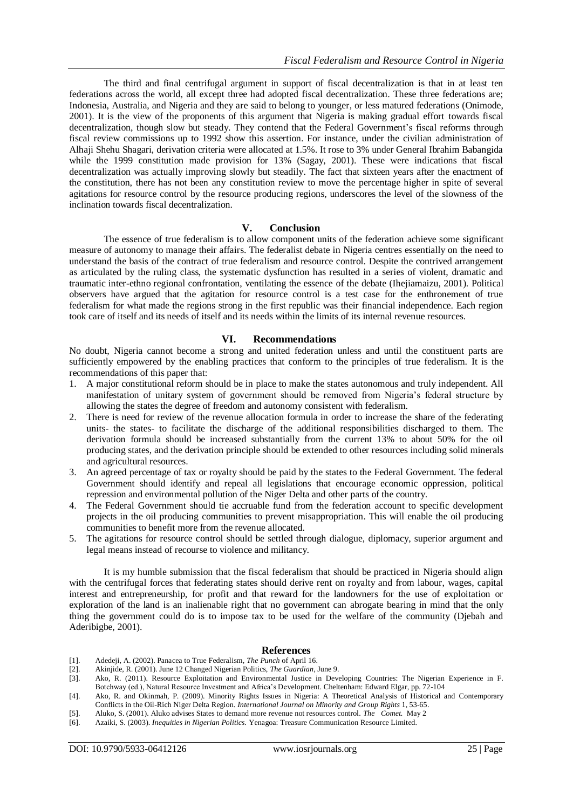The third and final centrifugal argument in support of fiscal decentralization is that in at least ten federations across the world, all except three had adopted fiscal decentralization. These three federations are; Indonesia, Australia, and Nigeria and they are said to belong to younger, or less matured federations (Onimode, 2001). It is the view of the proponents of this argument that Nigeria is making gradual effort towards fiscal decentralization, though slow but steady. They contend that the Federal Government"s fiscal reforms through fiscal review commissions up to 1992 show this assertion. For instance, under the civilian administration of Alhaji Shehu Shagari, derivation criteria were allocated at 1.5%. It rose to 3% under General Ibrahim Babangida while the 1999 constitution made provision for 13% (Sagay, 2001). These were indications that fiscal decentralization was actually improving slowly but steadily. The fact that sixteen years after the enactment of the constitution, there has not been any constitution review to move the percentage higher in spite of several agitations for resource control by the resource producing regions, underscores the level of the slowness of the inclination towards fiscal decentralization.

## **V. Conclusion**

The essence of true federalism is to allow component units of the federation achieve some significant measure of autonomy to manage their affairs. The federalist debate in Nigeria centres essentially on the need to understand the basis of the contract of true federalism and resource control. Despite the contrived arrangement as articulated by the ruling class, the systematic dysfunction has resulted in a series of violent, dramatic and traumatic inter-ethno regional confrontation, ventilating the essence of the debate (Ihejiamaizu, 2001). Political observers have argued that the agitation for resource control is a test case for the enthronement of true federalism for what made the regions strong in the first republic was their financial independence. Each region took care of itself and its needs of itself and its needs within the limits of its internal revenue resources.

#### **VI. Recommendations**

No doubt, Nigeria cannot become a strong and united federation unless and until the constituent parts are sufficiently empowered by the enabling practices that conform to the principles of true federalism. It is the recommendations of this paper that:

- 1. A major constitutional reform should be in place to make the states autonomous and truly independent. All manifestation of unitary system of government should be removed from Nigeria"s federal structure by allowing the states the degree of freedom and autonomy consistent with federalism.
- 2. There is need for review of the revenue allocation formula in order to increase the share of the federating units- the states- to facilitate the discharge of the additional responsibilities discharged to them. The derivation formula should be increased substantially from the current 13% to about 50% for the oil producing states, and the derivation principle should be extended to other resources including solid minerals and agricultural resources.
- 3. An agreed percentage of tax or royalty should be paid by the states to the Federal Government. The federal Government should identify and repeal all legislations that encourage economic oppression, political repression and environmental pollution of the Niger Delta and other parts of the country.
- 4. The Federal Government should tie accruable fund from the federation account to specific development projects in the oil producing communities to prevent misappropriation. This will enable the oil producing communities to benefit more from the revenue allocated.
- 5. The agitations for resource control should be settled through dialogue, diplomacy, superior argument and legal means instead of recourse to violence and militancy.

It is my humble submission that the fiscal federalism that should be practiced in Nigeria should align with the centrifugal forces that federating states should derive rent on royalty and from labour, wages, capital interest and entrepreneurship, for profit and that reward for the landowners for the use of exploitation or exploration of the land is an inalienable right that no government can abrogate bearing in mind that the only thing the government could do is to impose tax to be used for the welfare of the community (Djebah and Aderibigbe, 2001).

#### **References**

- [1]. Adedeji, A. (2002). Panacea to True Federalism, *The Punch* of April 16.
- [2]. Akinjide, R. (2001). June 12 Changed Nigerian Politics, *The Guardian*, June 9.
- [3]. Ako, R. (2011). Resource Exploitation and Environmental Justice in Developing Countries: The Nigerian Experience in F. Botchway (ed.), Natural Resource Investment and Africa"s Development. Cheltenham: Edward Elgar, pp. 72-104
- [4]. Ako, R. and Okinmah, P. (2009). Minority Rights Issues in Nigeria: A Theoretical Analysis of Historical and Contemporary Conflicts in the Oil-Rich Niger Delta Region. *International Journal on Minority and Group Rights* 1, 53-65.
- [5]. Aluko, S. (2001). Aluko advises States to demand more revenue not resources control. *The Comet.* May 2
- [6]. Azaiki, S. (2003). *Inequities in Nigerian Politics.* Yenagoa: Treasure Communication Resource Limited.